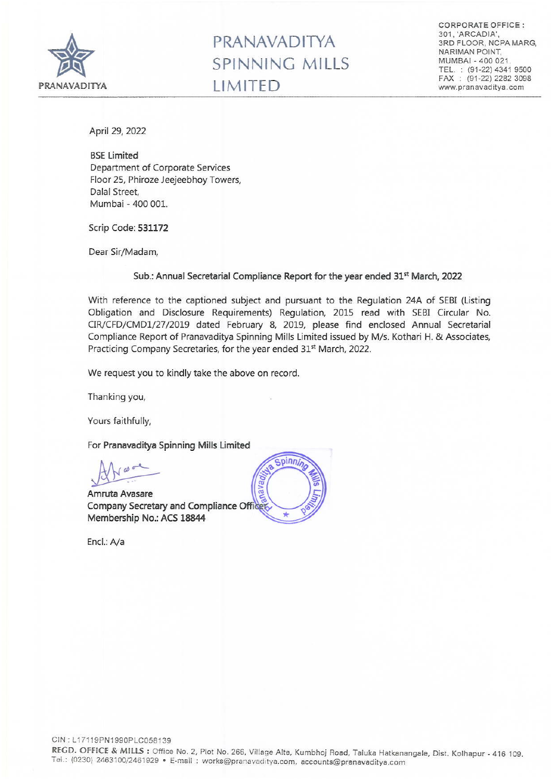

## PRANAVADITYA SPINNING MILLS LIMITED

CORPORATE OFFICE: 301, 'ARCADIA', 3RD FLOOR, NCPA MARG, NARIMAN POlNT, MUMBAI - 400 021. TEL. : (91-22) 4341 9500 FAX: (91-22) 2282 3098 www.pranavaditya.com

April 29, 2022

**BSE Limited** Department of Corporate Services Floor 25, Phiroze Jeejeebhoy Towers, Dalal Street, Mumbai - 400 001.

Scrip Code: 531172

Dear Sir/Madam,

## Sub.: Annual Secretarial Compliance Report for the year ended 31st March, 2022

With reference to the captioned subject and pursuant to the Regulation 24A of SEBI (Listing Obligation and Disclosure Requirements) Regulation, 2015 read with SEBI Circular No. CIR/CFD/CMDI/27/2019 dated February 8, 2019, please find enclosed Annual Secretarial Compliance Report of Pranavaditya Spinning Mills Limited issued by M/s. Kothari H. & Associates, Practicing Company Secretaries, for the year ended 31<sup>st</sup> March, 2022.

We request you to kindly take the above on record.

Thanking you,

Yours faithfully,

For Pranavaditya Spinning Mills Limited

~

Amruta Avasare Company Secretary and Compliance Officer Membership No.: ACS 18844



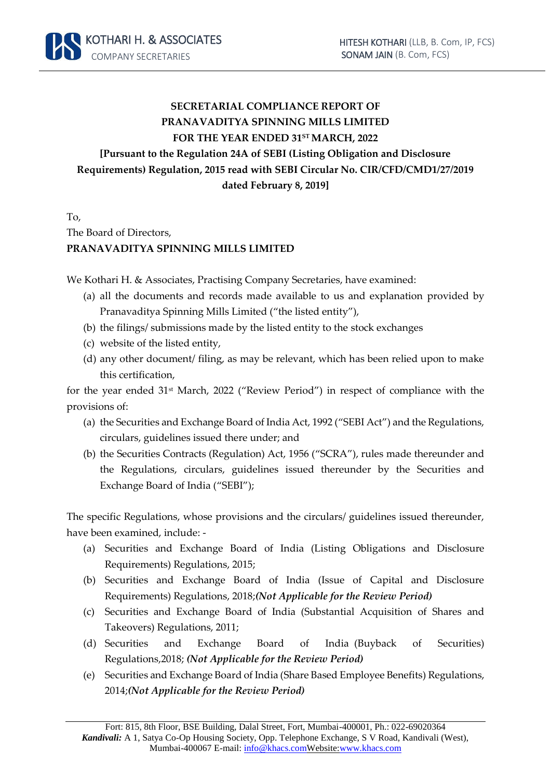

## **SECRETARIAL COMPLIANCE REPORT OF PRANAVADITYA SPINNING MILLS LIMITED FOR THE YEAR ENDED 31STMARCH, 2022 [Pursuant to the Regulation 24A of SEBI (Listing Obligation and Disclosure Requirements) Regulation, 2015 read with SEBI Circular No. CIR/CFD/CMD1/27/2019 dated February 8, 2019]**

To, The Board of Directors, **PRANAVADITYA SPINNING MILLS LIMITED**

We Kothari H. & Associates, Practising Company Secretaries, have examined:

- (a) all the documents and records made available to us and explanation provided by Pranavaditya Spinning Mills Limited ("the listed entity"),
- (b) the filings/ submissions made by the listed entity to the stock exchanges
- (c) website of the listed entity,
- (d) any other document/ filing, as may be relevant, which has been relied upon to make this certification,

for the year ended 31st March, 2022 ("Review Period") in respect of compliance with the provisions of:

- (a) the Securities and Exchange Board of India Act, 1992 ("SEBI Act") and the Regulations, circulars, guidelines issued there under; and
- (b) the Securities Contracts (Regulation) Act, 1956 ("SCRA"), rules made thereunder and the Regulations, circulars, guidelines issued thereunder by the Securities and Exchange Board of India ("SEBI");

The specific Regulations, whose provisions and the circulars/ guidelines issued thereunder, have been examined, include: -

- (a) Securities and Exchange Board of India (Listing Obligations and Disclosure Requirements) Regulations, 2015;
- (b) Securities and Exchange Board of India (Issue of Capital and Disclosure Requirements) Regulations, 2018;*(Not Applicable for the Review Period)*
- (c) Securities and Exchange Board of India (Substantial Acquisition of Shares and Takeovers) Regulations, 2011;
- (d) Securities and Exchange Board of India (Buyback of Securities) Regulations,2018; *(Not Applicable for the Review Period)*
- (e) Securities and Exchange Board of India (Share Based Employee Benefits) Regulations, 2014;*(Not Applicable for the Review Period)*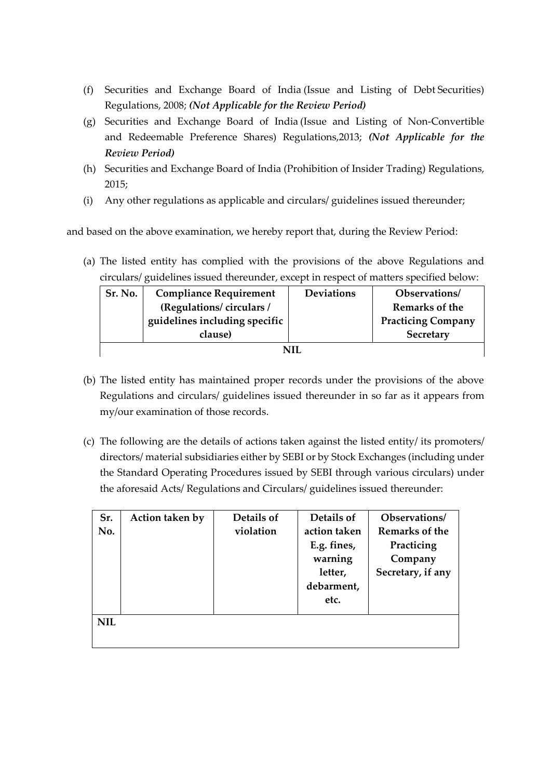- (f) Securities and Exchange Board of India (Issue and Listing of Debt Securities) Regulations, 2008; *(Not Applicable for the Review Period)*
- (g) Securities and Exchange Board of India (Issue and Listing of Non-Convertible and Redeemable Preference Shares) Regulations,2013; *(Not Applicable for the Review Period)*
- (h) Securities and Exchange Board of India (Prohibition of Insider Trading) Regulations, 2015;
- (i) Any other regulations as applicable and circulars/ guidelines issued thereunder;

and based on the above examination, we hereby report that, during the Review Period:

(a) The listed entity has complied with the provisions of the above Regulations and circulars/ guidelines issued thereunder, except in respect of matters specified below:

| Sr. No. | <b>Compliance Requirement</b> | <b>Deviations</b> | Observations/             |  |  |  |  |
|---------|-------------------------------|-------------------|---------------------------|--|--|--|--|
|         | (Regulations/circulars/       |                   | Remarks of the            |  |  |  |  |
|         | guidelines including specific |                   | <b>Practicing Company</b> |  |  |  |  |
|         | clause)                       |                   | Secretary                 |  |  |  |  |
| NH      |                               |                   |                           |  |  |  |  |

- (b) The listed entity has maintained proper records under the provisions of the above Regulations and circulars/ guidelines issued thereunder in so far as it appears from my/our examination of those records.
- (c) The following are the details of actions taken against the listed entity/ its promoters/ directors/ material subsidiaries either by SEBI or by Stock Exchanges (including under the Standard Operating Procedures issued by SEBI through various circulars) under the aforesaid Acts/ Regulations and Circulars/ guidelines issued thereunder:

| Sr.        | Action taken by | Details of | Details of   | Observations/     |
|------------|-----------------|------------|--------------|-------------------|
| No.        |                 | violation  | action taken | Remarks of the    |
|            |                 |            | E.g. fines,  | Practicing        |
|            |                 |            | warning      | Company           |
|            |                 |            | letter,      | Secretary, if any |
|            |                 |            | debarment,   |                   |
|            |                 |            | etc.         |                   |
| <b>NIL</b> |                 |            |              |                   |